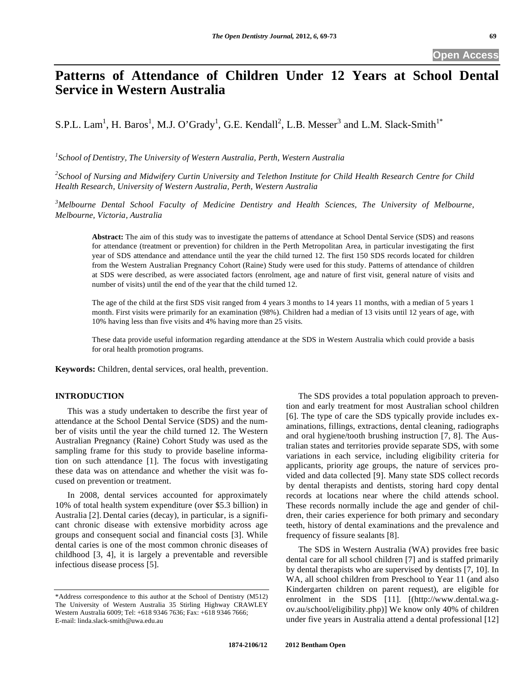# **Patterns of Attendance of Children Under 12 Years at School Dental Service in Western Australia**

S.P.L. Lam<sup>1</sup>, H. Baros<sup>1</sup>, M.J. O'Grady<sup>1</sup>, G.E. Kendall<sup>2</sup>, L.B. Messer<sup>3</sup> and L.M. Slack-Smith<sup>1\*</sup>

*1 School of Dentistry, The University of Western Australia, Perth, Western Australia* 

*2 School of Nursing and Midwifery Curtin University and Telethon Institute for Child Health Research Centre for Child Health Research, University of Western Australia, Perth, Western Australia* 

*3 Melbourne Dental School Faculty of Medicine Dentistry and Health Sciences, The University of Melbourne, Melbourne, Victoria, Australia*

**Abstract:** The aim of this study was to investigate the patterns of attendance at School Dental Service (SDS) and reasons for attendance (treatment or prevention) for children in the Perth Metropolitan Area, in particular investigating the first year of SDS attendance and attendance until the year the child turned 12. The first 150 SDS records located for children from the Western Australian Pregnancy Cohort (Raine) Study were used for this study. Patterns of attendance of children at SDS were described, as were associated factors (enrolment, age and nature of first visit, general nature of visits and number of visits) until the end of the year that the child turned 12.

The age of the child at the first SDS visit ranged from 4 years 3 months to 14 years 11 months, with a median of 5 years 1 month. First visits were primarily for an examination (98%). Children had a median of 13 visits until 12 years of age, with 10% having less than five visits and 4% having more than 25 visits.

These data provide useful information regarding attendance at the SDS in Western Australia which could provide a basis for oral health promotion programs.

**Keywords:** Children, dental services, oral health, prevention.

# **INTRODUCTION**

This was a study undertaken to describe the first year of attendance at the School Dental Service (SDS) and the number of visits until the year the child turned 12. The Western Australian Pregnancy (Raine) Cohort Study was used as the sampling frame for this study to provide baseline information on such attendance [1]. The focus with investigating these data was on attendance and whether the visit was focused on prevention or treatment.

In 2008, dental services accounted for approximately 10% of total health system expenditure (over \$5.3 billion) in Australia [2]. Dental caries (decay), in particular, is a significant chronic disease with extensive morbidity across age groups and consequent social and financial costs [3]. While dental caries is one of the most common chronic diseases of childhood [3, 4], it is largely a preventable and reversible infectious disease process [5].

The SDS provides a total population approach to prevention and early treatment for most Australian school children [6]. The type of care the SDS typically provide includes examinations, fillings, extractions, dental cleaning, radiographs and oral hygiene/tooth brushing instruction [7, 8]. The Australian states and territories provide separate SDS, with some variations in each service, including eligibility criteria for applicants, priority age groups, the nature of services provided and data collected [9]. Many state SDS collect records by dental therapists and dentists, storing hard copy dental records at locations near where the child attends school. These records normally include the age and gender of children, their caries experience for both primary and secondary teeth, history of dental examinations and the prevalence and frequency of fissure sealants [8].

The SDS in Western Australia (WA) provides free basic dental care for all school children [7] and is staffed primarily by dental therapists who are supervised by dentists [7, 10]. In WA, all school children from Preschool to Year 11 (and also Kindergarten children on parent request), are eligible for enrolment in the SDS [11]. [(http://www.dental.wa.gov.au/school/eligibility.php)] We know only 40% of children under five years in Australia attend a dental professional [12]

<sup>\*</sup>Address correspondence to this author at the School of Dentistry (M512) The University of Western Australia 35 Stirling Highway CRAWLEY Western Australia 6009; Tel: +618 9346 7636; Fax: +618 9346 7666; E-mail: linda.slack-smith@uwa.edu.au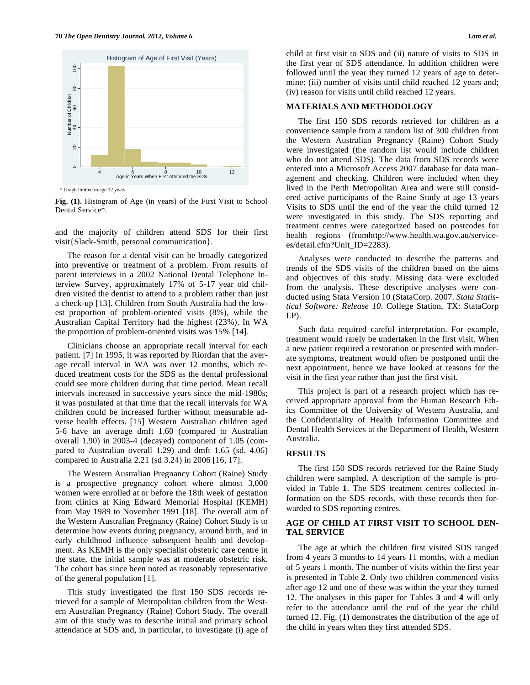

\* Graph limited to age 12 years

**Fig. (1).** Histogram of Age (in years) of the First Visit to School Dental Service\*.

and the majority of children attend SDS for their first visit{Slack-Smith, personal communication}.

The reason for a dental visit can be broadly categorized into preventive or treatment of a problem. From results of parent interviews in a 2002 National Dental Telephone Interview Survey, approximately 17% of 5-17 year old children visited the dentist to attend to a problem rather than just a check-up [13]. Children from South Australia had the lowest proportion of problem-oriented visits (8%), while the Australian Capital Territory had the highest (23%). In WA the proportion of problem-oriented visits was 15% [14].

Clinicians choose an appropriate recall interval for each patient. [7] In 1995, it was reported by Riordan that the average recall interval in WA was over 12 months, which reduced treatment costs for the SDS as the dental professional could see more children during that time period. Mean recall intervals increased in successive years since the mid-1980s; it was postulated at that time that the recall intervals for WA children could be increased further without measurable adverse health effects. [15] Western Australian children aged 5-6 have an average dmft 1.60 (compared to Australian overall 1.90) in 2003-4 (decayed) component of 1.05 (compared to Australian overall 1.29) and dmft 1.65 (sd. 4.06) compared to Australia 2.21 (sd 3.24) in 2006 [16, 17].

The Western Australian Pregnancy Cohort (Raine) Study is a prospective pregnancy cohort where almost 3,000 women were enrolled at or before the 18th week of gestation from clinics at King Edward Memorial Hospital (KEMH) from May 1989 to November 1991 [18]. The overall aim of the Western Australian Pregnancy (Raine) Cohort Study is to determine how events during pregnancy, around birth, and in early childhood influence subsequent health and development. As KEMH is the only specialist obstetric care centre in the state, the initial sample was at moderate obstetric risk. The cohort has since been noted as reasonably representative of the general population [1].

This study investigated the first 150 SDS records retrieved for a sample of Metropolitan children from the Western Australian Pregnancy (Raine) Cohort Study. The overall aim of this study was to describe initial and primary school attendance at SDS and, in particular, to investigate (i) age of child at first visit to SDS and (ii) nature of visits to SDS in the first year of SDS attendance. In addition children were followed until the year they turned 12 years of age to determine: (iii) number of visits until child reached 12 years and; (iv) reason for visits until child reached 12 years.

#### **MATERIALS AND METHODOLOGY**

The first 150 SDS records retrieved for children as a convenience sample from a random list of 300 children from the Western Australian Pregnancy (Raine) Cohort Study were investigated (the random list would include children who do not attend SDS). The data from SDS records were entered into a Microsoft Access 2007 database for data management and checking. Children were included when they lived in the Perth Metropolitan Area and were still considered active participants of the Raine Study at age 13 years Visits to SDS until the end of the year the child turned 12 were investigated in this study. The SDS reporting and treatment centres were categorized based on postcodes for health regions (fromhttp://www.health.wa.gov.au/servicees/detail.cfm?Unit\_ID=2283).

Analyses were conducted to describe the patterns and trends of the SDS visits of the children based on the aims and objectives of this study. Missing data were excluded from the analysis. These descriptive analyses were conducted using Stata Version 10 (StataCorp. 2007. *Stata Statistical Software: Release 10*. College Station, TX: StataCorp LP).

Such data required careful interpretation. For example, treatment would rarely be undertaken in the first visit. When a new patient required a restoration or presented with moderate symptoms, treatment would often be postponed until the next appointment, hence we have looked at reasons for the visit in the first year rather than just the first visit.

This project is part of a research project which has received appropriate approval from the Human Research Ethics Committee of the University of Western Australia, and the Confidentiality of Health Information Committee and Dental Health Services at the Department of Health, Western Australia.

## **RESULTS**

The first 150 SDS records retrieved for the Raine Study children were sampled. A description of the sample is provided in Table **1**. The SDS treatment centres collected information on the SDS records, with these records then forwarded to SDS reporting centres.

# **AGE OF CHILD AT FIRST VISIT TO SCHOOL DEN-TAL SERVICE**

The age at which the children first visited SDS ranged from 4 years 3 months to 14 years 11 months, with a median of 5 years 1 month. The number of visits within the first year is presented in Table **2**. Only two children commenced visits after age 12 and one of these was within the year they turned 12. The analyses in this paper for Tables **3** and **4** will only refer to the attendance until the end of the year the child turned 12. Fig. (**1**) demonstrates the distribution of the age of the child in years when they first attended SDS.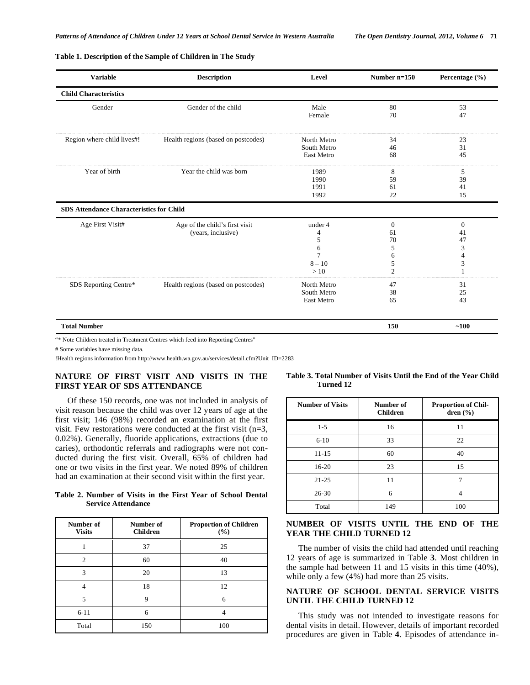#### **Table 1. Description of the Sample of Children in The Study**

| <b>Variable</b>                                 | <b>Description</b>                  | Level       | Number $n=150$ | Percentage (%) |
|-------------------------------------------------|-------------------------------------|-------------|----------------|----------------|
| <b>Child Characteristics</b>                    |                                     |             |                |                |
| Gender                                          | Gender of the child                 | Male        | 80             | 53             |
|                                                 |                                     | Female      | 70             | 47             |
| Region where child lives#!                      | Health regions (based on postcodes) | North Metro | 34             | 23             |
|                                                 |                                     | South Metro | 46             | 31             |
|                                                 |                                     | East Metro  | 68             | 45             |
| Year of birth                                   | Year the child was born             | 1989        | 8              | 5              |
|                                                 |                                     | 1990        | 59             | 39             |
|                                                 |                                     | 1991        | 61             | 41             |
|                                                 |                                     | 1992        | 22             | 15             |
| <b>SDS Attendance Characteristics for Child</b> |                                     |             |                |                |
| Age First Visit#                                | Age of the child's first visit      | under 4     | $\Omega$       | $\theta$       |
|                                                 | (years, inclusive)                  | 4           | 61             | 41             |
|                                                 |                                     | 5           | 70             | 47             |
|                                                 |                                     | 6           | 5              | 3              |
|                                                 |                                     | 7           | 6              | 4              |
|                                                 |                                     | $8 - 10$    | 5              | 3              |
|                                                 |                                     | >10         | $\overline{c}$ |                |
| SDS Reporting Centre*                           | Health regions (based on postcodes) | North Metro | 47             | 31             |
|                                                 |                                     | South Metro | 38             | 25             |
|                                                 |                                     | East Metro  | 65             | 43             |
| <b>Total Number</b>                             |                                     |             | 150            | ~100           |

"\* Note Children treated in Treatment Centres which feed into Reporting Centres"

# Some variables have missing data.

!Health regions information from http://www.health.wa.gov.au/services/detail.cfm?Unit\_ID=2283

# **NATURE OF FIRST VISIT AND VISITS IN THE FIRST YEAR OF SDS ATTENDANCE**

Of these 150 records, one was not included in analysis of visit reason because the child was over 12 years of age at the first visit; 146 (98%) recorded an examination at the first visit. Few restorations were conducted at the first visit (n=3, 0.02%). Generally, fluoride applications, extractions (due to caries), orthodontic referrals and radiographs were not conducted during the first visit. Overall, 65% of children had one or two visits in the first year. We noted 89% of children had an examination at their second visit within the first year.

**Table 2. Number of Visits in the First Year of School Dental Service Attendance** 

| Number of<br><b>Visits</b> | Number of<br><b>Children</b> | <b>Proportion of Children</b><br>(%) |
|----------------------------|------------------------------|--------------------------------------|
|                            | 37                           | 25                                   |
| $\overline{c}$             | 60                           | 40                                   |
| 3                          | 20                           | 13                                   |
| 4                          | 18                           | 12                                   |
| 5                          | 9                            | 6                                    |
| $6 - 11$                   | 6                            |                                      |
| Total                      | 150                          | 100                                  |

**Table 3. Total Number of Visits Until the End of the Year Child Turned 12** 

| <b>Number of Visits</b> | Number of<br><b>Children</b> | <b>Proportion of Chil-</b><br>dren $(\% )$ |
|-------------------------|------------------------------|--------------------------------------------|
| $1 - 5$                 | 16                           | 11                                         |
| $6 - 10$                | 33                           | 22                                         |
| $11 - 15$               | 60                           | 40                                         |
| $16 - 20$               | 23                           | 15                                         |
| $21 - 25$               | 11                           |                                            |
| $26 - 30$               | 6                            | 4                                          |
| Total                   | 149                          | 100                                        |

# **NUMBER OF VISITS UNTIL THE END OF THE YEAR THE CHILD TURNED 12**

The number of visits the child had attended until reaching 12 years of age is summarized in Table **3**. Most children in the sample had between 11 and 15 visits in this time (40%), while only a few (4%) had more than 25 visits.

# **NATURE OF SCHOOL DENTAL SERVICE VISITS UNTIL THE CHILD TURNED 12**

This study was not intended to investigate reasons for dental visits in detail. However, details of important recorded procedures are given in Table **4**. Episodes of attendance in-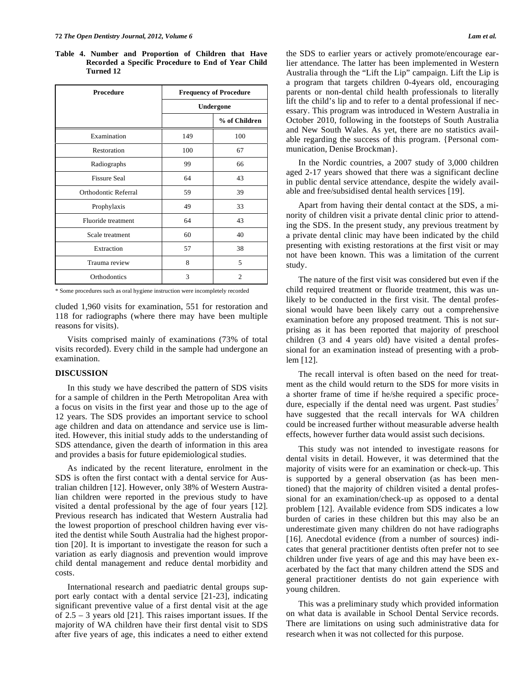**Table 4. Number and Proportion of Children that Have Recorded a Specific Procedure to End of Year Child Turned 12** 

| <b>Procedure</b>     | <b>Frequency of Procedure</b> |               |  |
|----------------------|-------------------------------|---------------|--|
|                      | Undergone                     |               |  |
|                      |                               | % of Children |  |
| Examination          | 149                           | 100           |  |
| Restoration          | 100                           | 67            |  |
| Radiographs          | 99                            | 66            |  |
| <b>Fissure Seal</b>  | 64                            | 43            |  |
| Orthodontic Referral | 59                            | 39            |  |
| Prophylaxis          | 49                            | 33            |  |
| Fluoride treatment   | 64                            | 43            |  |
| Scale treatment      | 60                            | 40            |  |
| Extraction           | 57                            | 38            |  |
| Trauma review        | 8                             | 5             |  |
| Orthodontics         | 3                             | 2             |  |

\* Some procedures such as oral hygiene instruction were incompletely recorded

cluded 1,960 visits for examination, 551 for restoration and 118 for radiographs (where there may have been multiple reasons for visits).

Visits comprised mainly of examinations (73% of total visits recorded). Every child in the sample had undergone an examination.

#### **DISCUSSION**

In this study we have described the pattern of SDS visits for a sample of children in the Perth Metropolitan Area with a focus on visits in the first year and those up to the age of 12 years. The SDS provides an important service to school age children and data on attendance and service use is limited. However, this initial study adds to the understanding of SDS attendance, given the dearth of information in this area and provides a basis for future epidemiological studies.

As indicated by the recent literature, enrolment in the SDS is often the first contact with a dental service for Australian children [12]. However, only 38% of Western Australian children were reported in the previous study to have visited a dental professional by the age of four years [12]. Previous research has indicated that Western Australia had the lowest proportion of preschool children having ever visited the dentist while South Australia had the highest proportion [20]. It is important to investigate the reason for such a variation as early diagnosis and prevention would improve child dental management and reduce dental morbidity and costs.

International research and paediatric dental groups support early contact with a dental service [21-23], indicating significant preventive value of a first dental visit at the age of 2.5 – 3 years old [21]. This raises important issues. If the majority of WA children have their first dental visit to SDS after five years of age, this indicates a need to either extend the SDS to earlier years or actively promote/encourage earlier attendance. The latter has been implemented in Western Australia through the "Lift the Lip" campaign. Lift the Lip is a program that targets children 0-4years old, encouraging parents or non-dental child health professionals to literally lift the child's lip and to refer to a dental professional if necessary. This program was introduced in Western Australia in October 2010, following in the footsteps of South Australia and New South Wales. As yet, there are no statistics available regarding the success of this program. {Personal communication, Denise Brockman}.

In the Nordic countries, a 2007 study of 3,000 children aged 2-17 years showed that there was a significant decline in public dental service attendance, despite the widely available and free/subsidised dental health services [19].

Apart from having their dental contact at the SDS, a minority of children visit a private dental clinic prior to attending the SDS. In the present study, any previous treatment by a private dental clinic may have been indicated by the child presenting with existing restorations at the first visit or may not have been known. This was a limitation of the current study.

The nature of the first visit was considered but even if the child required treatment or fluoride treatment, this was unlikely to be conducted in the first visit. The dental professional would have been likely carry out a comprehensive examination before any proposed treatment. This is not surprising as it has been reported that majority of preschool children (3 and 4 years old) have visited a dental professional for an examination instead of presenting with a problem [12].

The recall interval is often based on the need for treatment as the child would return to the SDS for more visits in a shorter frame of time if he/she required a specific procedure, especially if the dental need was urgent. Past studies<sup>7</sup> have suggested that the recall intervals for WA children could be increased further without measurable adverse health effects, however further data would assist such decisions.

This study was not intended to investigate reasons for dental visits in detail. However, it was determined that the majority of visits were for an examination or check-up. This is supported by a general observation (as has been mentioned) that the majority of children visited a dental professional for an examination/check-up as opposed to a dental problem [12]. Available evidence from SDS indicates a low burden of caries in these children but this may also be an underestimate given many children do not have radiographs [16]. Anecdotal evidence (from a number of sources) indicates that general practitioner dentists often prefer not to see children under five years of age and this may have been exacerbated by the fact that many children attend the SDS and general practitioner dentists do not gain experience with young children.

This was a preliminary study which provided information on what data is available in School Dental Service records. There are limitations on using such administrative data for research when it was not collected for this purpose.